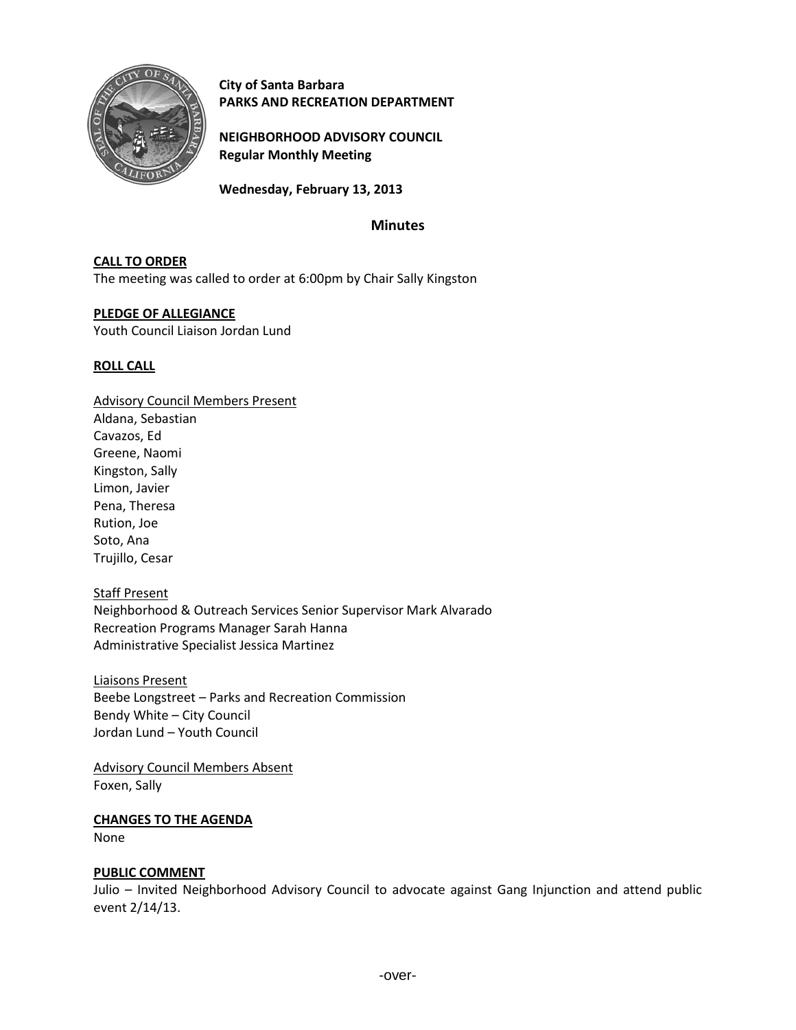

**City of Santa Barbara PARKS AND RECREATION DEPARTMENT**

**NEIGHBORHOOD ADVISORY COUNCIL Regular Monthly Meeting**

**Wednesday, February 13, 2013**

# **Minutes**

## **CALL TO ORDER**

The meeting was called to order at 6:00pm by Chair Sally Kingston

## **PLEDGE OF ALLEGIANCE**

Youth Council Liaison Jordan Lund

## **ROLL CALL**

Advisory Council Members Present Aldana, Sebastian Cavazos, Ed Greene, Naomi Kingston, Sally Limon, Javier Pena, Theresa Rution, Joe Soto, Ana Trujillo, Cesar

Staff Present Neighborhood & Outreach Services Senior Supervisor Mark Alvarado Recreation Programs Manager Sarah Hanna Administrative Specialist Jessica Martinez

Liaisons Present Beebe Longstreet – Parks and Recreation Commission Bendy White – City Council Jordan Lund – Youth Council

Advisory Council Members Absent Foxen, Sally

# **CHANGES TO THE AGENDA**

None

# **PUBLIC COMMENT**

Julio – Invited Neighborhood Advisory Council to advocate against Gang Injunction and attend public event 2/14/13.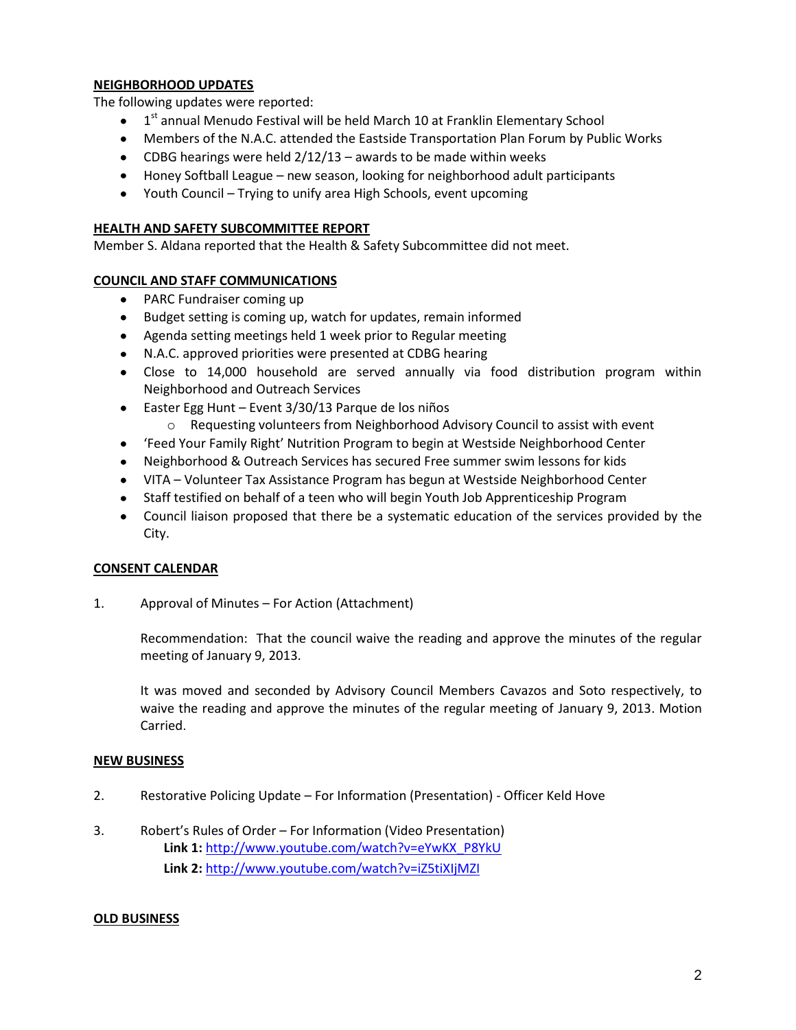### **NEIGHBORHOOD UPDATES**

The following updates were reported:

- 1<sup>st</sup> annual Menudo Festival will be held March 10 at Franklin Elementary School  $\bullet$
- Members of the N.A.C. attended the Eastside Transportation Plan Forum by Public Works
- CDBG hearings were held  $2/12/13$  awards to be made within weeks
- Honey Softball League new season, looking for neighborhood adult participants
- Youth Council Trying to unify area High Schools, event upcoming

## **HEALTH AND SAFETY SUBCOMMITTEE REPORT**

Member S. Aldana reported that the Health & Safety Subcommittee did not meet.

## **COUNCIL AND STAFF COMMUNICATIONS**

- PARC Fundraiser coming up
- Budget setting is coming up, watch for updates, remain informed  $\bullet$
- Agenda setting meetings held 1 week prior to Regular meeting
- N.A.C. approved priorities were presented at CDBG hearing
- Close to 14,000 household are served annually via food distribution program within Neighborhood and Outreach Services
- $\bullet$ Easter Egg Hunt – Event 3/30/13 Parque de los niños
	- $\circ$  Requesting volunteers from Neighborhood Advisory Council to assist with event
- 'Feed Your Family Right' Nutrition Program to begin at Westside Neighborhood Center  $\bullet$
- Neighborhood & Outreach Services has secured Free summer swim lessons for kids
- VITA Volunteer Tax Assistance Program has begun at Westside Neighborhood Center
- Staff testified on behalf of a teen who will begin Youth Job Apprenticeship Program
- Council liaison proposed that there be a systematic education of the services provided by the City.

# **CONSENT CALENDAR**

1. Approval of Minutes – For Action (Attachment)

Recommendation: That the council waive the reading and approve the minutes of the regular meeting of January 9, 2013.

It was moved and seconded by Advisory Council Members Cavazos and Soto respectively, to waive the reading and approve the minutes of the regular meeting of January 9, 2013. Motion Carried.

### **NEW BUSINESS**

- 2. Restorative Policing Update For Information (Presentation) Officer Keld Hove
- 3. Robert's Rules of Order For Information (Video Presentation) **Link 1:** [http://www.youtube.com/watch?v=eYwKX\\_P8YkU](http://www.youtube.com/watch?v=eYwKX_P8YkU) **Link 2:** <http://www.youtube.com/watch?v=iZ5tiXIjMZI>

### **OLD BUSINESS**